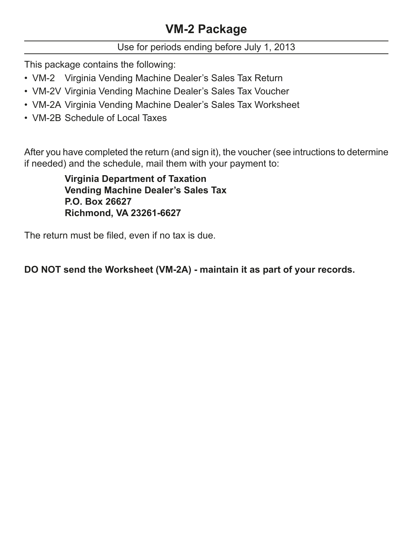# **VM-2 Package**

Use for periods ending before July 1, 2013

This package contains the following:

- VM-2 Virginia Vending Machine Dealer's Sales Tax Return
- VM-2V Virginia Vending Machine Dealer's Sales Tax Voucher
- VM-2A Virginia Vending Machine Dealer's Sales Tax Worksheet
- VM-2B Schedule of Local Taxes

After you have completed the return (and sign it), the voucher (see intructions to determine if needed) and the schedule, mail them with your payment to:

> **Virginia Department of Taxation Vending Machine Dealer's Sales Tax P.O. Box 26627 Richmond, VA 23261-6627**

The return must be filed, even if no tax is due.

**DO NOT send the Worksheet (VM-2A) - maintain it as part of your records.**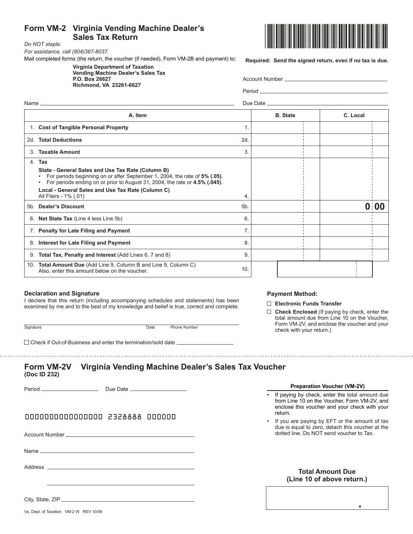### **Form VM-2 Virginia Vending Machine Dealer's Sales Tax Return** *Do NOT staple.*



**Required: Send the signed return, even if no tax is due.**

*For assistance, call (804)367-8037.*

|  |  |  | Mail completed forms (the return, the voucher (if needed), Form VM-2B and payment) to: |
|--|--|--|----------------------------------------------------------------------------------------|
|  |  |  |                                                                                        |

**Virginia Department of Taxation Vending Machine Dealer's Sales Tax P.O. Box 26627** Account Number 2014

**Richmond, VA 23261-6627**

| ACCOUNT NUMBER |  |
|----------------|--|
|                |  |

Period<sub>—</sub> Name Due Date

|     | A. Item                                                                                                                                                                                                                     |                | <b>B.</b> State | C. Local |                   |
|-----|-----------------------------------------------------------------------------------------------------------------------------------------------------------------------------------------------------------------------------|----------------|-----------------|----------|-------------------|
|     | 1. Cost of Tangible Personal Property                                                                                                                                                                                       |                |                 |          |                   |
|     | 2d. Total Deductions                                                                                                                                                                                                        | 2d             |                 |          |                   |
| 3   | <b>Taxable Amount</b>                                                                                                                                                                                                       | 3.             |                 |          |                   |
|     | 4. Tax                                                                                                                                                                                                                      |                |                 |          |                   |
|     | State - General Sales and Use Tax Rate (Column B)<br>For periods beginning on or after September 1, 2004, the rate of 5% (.05).<br>For periods ending on or prior to August 31, 2004, the rate or 4.5% (.045).<br>$\bullet$ |                |                 |          |                   |
|     | Local - General Sales and Use Tax Rate (Column C)<br>All Filers - 1% (.01)                                                                                                                                                  | 4.             |                 |          |                   |
| 5b. | <b>Dealer's Discount</b>                                                                                                                                                                                                    | 5 <sub>b</sub> |                 |          | 0 <sub>1</sub> 00 |
| 6.  | <b>Net State Tax</b> (Line 4 less Line 5b)                                                                                                                                                                                  | 6.             |                 |          |                   |
|     | 7. Penalty for Late Filing and Payment                                                                                                                                                                                      | 7.             |                 |          |                   |
| 8.  | Interest for Late Filing and Payment                                                                                                                                                                                        | 8.             |                 |          |                   |
| 9.  | Total Tax, Penalty and Interest (Add Lines 6, 7 and 8)                                                                                                                                                                      | 9              |                 |          |                   |
|     | 10. Total Amount Due (Add Line 9, Column B and Line 9, Column C)<br>Also, enter this amount below on the voucher.                                                                                                           | 10.            |                 |          |                   |

### **Declaration and Signature**

I declare that this return (including accompanying schedules and statements) has been examined by me and to the best of my knowledge and belief is true, correct and complete.

Signature **Date** Phone Number

 $\square$  Check if Out-of-Business and enter the termination/sold date  $\square$ 

### **Form VM-2V Virginia Vending Machine Dealer's Sales Tax Voucher (Doc ID 232)**

Period Due Date

# 0000000000000000 2328888 000000

Account Number

Name

Address \_

### **Payment Method:**

### **Electronic Funds Transfer**

**Check Enclosed** (If paying by check, enter the total amount due from Line 10 on the Voucher, Form VM‑2V, and enclose the voucher and your check with your return.)

**Preparation Voucher (VM-2V)**

If paying by check, enter the total amount due from Line 10 on the Voucher, Form VM-2V, and enclose this voucher and your check with your return.

If you are paying by EFT or the amount of tax due is equal to zero, detach this voucher at the dotted line. Do NOT send voucher to Tax.

| <b>Total Amount Due</b>    |  |
|----------------------------|--|
| (Line 10 of above return.) |  |

.

City, State, ZIP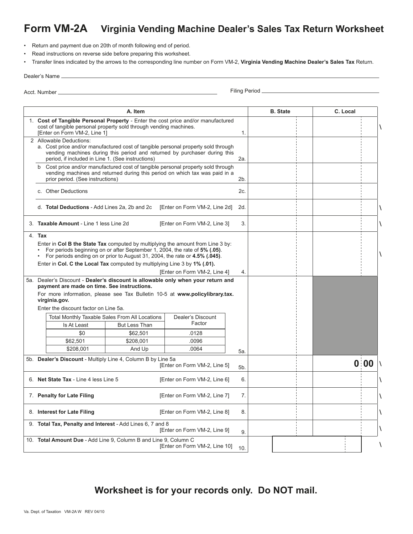# **Form VM-2A Virginia Vending Machine Dealer's Sales Tax Return Worksheet**

- • Return and payment due on 20th of month following end of period.
- • Read instructions on reverse side before preparing this worksheet.

• Transfer lines indicated by the arrows to the corresponding line number on Form VM-2, **Virginia Vending Machine Dealer's Sales Tax** Return.

| Dealer's Name |  |
|---------------|--|
|---------------|--|

Acct. Number Filing Period

| A. Item |                                                                                                                                                                                       |                                                                                                                                                                                                                                                |               |                                                                                                                                                                 |     | <b>B.</b> State | C. Local |   |
|---------|---------------------------------------------------------------------------------------------------------------------------------------------------------------------------------------|------------------------------------------------------------------------------------------------------------------------------------------------------------------------------------------------------------------------------------------------|---------------|-----------------------------------------------------------------------------------------------------------------------------------------------------------------|-----|-----------------|----------|---|
|         | 1. Cost of Tangible Personal Property - Enter the cost price and/or manufactured<br>cost of tangible personal property sold through vending machines.<br>[Enter on Form VM-2, Line 1] |                                                                                                                                                                                                                                                |               |                                                                                                                                                                 |     |                 |          | m |
|         |                                                                                                                                                                                       | 2 Allowable Deductions:<br>a. Cost price and/or manufactured cost of tangible personal property sold through<br>vending machines during this period and returned by purchaser during this<br>period, if included in Line 1. (See instructions) |               | 2a.                                                                                                                                                             |     |                 |          |   |
|         |                                                                                                                                                                                       | prior period. (See instructions)                                                                                                                                                                                                               |               | b Cost price and/or manufactured cost of tangible personal property sold through<br>vending machines and returned during this period on which tax was paid in a | 2b. |                 |          |   |
|         |                                                                                                                                                                                       | c. Other Deductions                                                                                                                                                                                                                            |               |                                                                                                                                                                 | 2c. |                 |          |   |
|         |                                                                                                                                                                                       | d. Total Deductions - Add Lines 2a, 2b and 2c                                                                                                                                                                                                  |               | [Enter on Form VM-2, Line 2d]                                                                                                                                   | 2d. |                 |          | m |
|         |                                                                                                                                                                                       | 3. Taxable Amount - Line 1 less Line 2d                                                                                                                                                                                                        |               | [Enter on Form VM-2, Line 3]                                                                                                                                    | 3.  |                 |          | m |
|         | 4. Tax                                                                                                                                                                                |                                                                                                                                                                                                                                                |               |                                                                                                                                                                 |     |                 |          |   |
|         |                                                                                                                                                                                       | For periods beginning on or after September 1, 2004, the rate of 5% (.05).<br>For periods ending on or prior to August 31, 2004, the rate or 4.5% (.045).                                                                                      |               | Enter in Col B the State Tax computed by multiplying the amount from Line 3 by:                                                                                 |     |                 |          | m |
|         |                                                                                                                                                                                       | Enter in Col. C the Local Tax computed by multiplying Line 3 by 1% (.01).                                                                                                                                                                      |               |                                                                                                                                                                 |     |                 |          |   |
|         |                                                                                                                                                                                       |                                                                                                                                                                                                                                                |               | [Enter on Form VM-2, Line 4]                                                                                                                                    | 4.  |                 |          |   |
|         |                                                                                                                                                                                       | payment are made on time. See instructions.                                                                                                                                                                                                    |               | 5a. Dealer's Discount - Dealer's discount is allowable only when your return and                                                                                |     |                 |          |   |
|         |                                                                                                                                                                                       |                                                                                                                                                                                                                                                |               | For more information, please see Tax Bulletin 10-5 at www.policylibrary.tax.                                                                                    |     |                 |          |   |
|         |                                                                                                                                                                                       | virginia.gov.                                                                                                                                                                                                                                  |               |                                                                                                                                                                 |     |                 |          |   |
|         |                                                                                                                                                                                       | Enter the discount factor on Line 5a.                                                                                                                                                                                                          |               |                                                                                                                                                                 |     |                 |          |   |
|         |                                                                                                                                                                                       | Total Monthly Taxable Sales From All Locations                                                                                                                                                                                                 |               | Dealer's Discount                                                                                                                                               |     |                 |          |   |
|         |                                                                                                                                                                                       | Is At Least                                                                                                                                                                                                                                    | But Less Than | Factor                                                                                                                                                          |     |                 |          |   |
|         |                                                                                                                                                                                       | \$0                                                                                                                                                                                                                                            | \$62,501      | .0128                                                                                                                                                           |     |                 |          |   |
|         |                                                                                                                                                                                       | \$62,501                                                                                                                                                                                                                                       | \$208,001     | .0096                                                                                                                                                           |     |                 |          |   |
|         |                                                                                                                                                                                       | \$208.001                                                                                                                                                                                                                                      | And Up        | .0064                                                                                                                                                           | 5а. |                 |          |   |
|         | 5b. Dealer's Discount - Multiply Line 4, Column B by Line 5a<br>[Enter on Form VM-2, Line 5]                                                                                          |                                                                                                                                                                                                                                                |               |                                                                                                                                                                 |     |                 | 0:00     | m |
|         | 6. Net State Tax - Line 4 less Line 5<br>[Enter on Form VM-2, Line 6]                                                                                                                 |                                                                                                                                                                                                                                                |               |                                                                                                                                                                 | 6.  |                 |          | m |
|         | 7. Penalty for Late Filing<br>[Enter on Form VM-2, Line 7]                                                                                                                            |                                                                                                                                                                                                                                                |               |                                                                                                                                                                 | 7.  |                 |          | m |
|         |                                                                                                                                                                                       | 8. Interest for Late Filing                                                                                                                                                                                                                    |               | [Enter on Form VM-2, Line 8]                                                                                                                                    | 8.  |                 |          | m |
|         |                                                                                                                                                                                       | 9. Total Tax, Penalty and Interest - Add Lines 6, 7 and 8                                                                                                                                                                                      |               | [Enter on Form VM-2, Line 9]                                                                                                                                    | 9.  |                 |          | m |
|         | 10. Total Amount Due - Add Line 9, Column B and Line 9, Column C<br>[Enter on Form VM-2, Line 10]                                                                                     |                                                                                                                                                                                                                                                |               |                                                                                                                                                                 |     |                 |          | m |

**Worksheet is for your records only. Do NOT mail.**